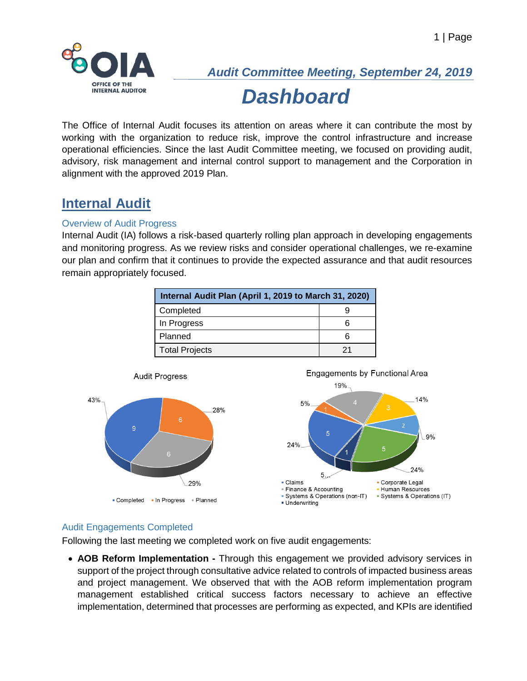

The Office of Internal Audit focuses its attention on areas where it can contribute the most by working with the organization to reduce risk, improve the control infrastructure and increase operational efficiencies. Since the last Audit Committee meeting, we focused on providing audit, advisory, risk management and internal control support to management and the Corporation in alignment with the approved 2019 Plan.

## **Internal Audit**

#### Overview of Audit Progress

Internal Audit (IA) follows a risk-based quarterly rolling plan approach in developing engagements and monitoring progress. As we review risks and consider operational challenges, we re-examine our plan and confirm that it continues to provide the expected assurance and that audit resources remain appropriately focused.

| Internal Audit Plan (April 1, 2019 to March 31, 2020) |  |  |  |  |
|-------------------------------------------------------|--|--|--|--|
| Completed                                             |  |  |  |  |
| In Progress                                           |  |  |  |  |
| Planned                                               |  |  |  |  |
| <b>Total Projects</b>                                 |  |  |  |  |



#### Audit Engagements Completed

Following the last meeting we completed work on five audit engagements:

• **AOB Reform Implementation -** Through this engagement we provided advisory services in support of the project through consultative advice related to controls of impacted business areas and project management. We observed that with the AOB reform implementation program management established critical success factors necessary to achieve an effective implementation, determined that processes are performing as expected, and KPIs are identified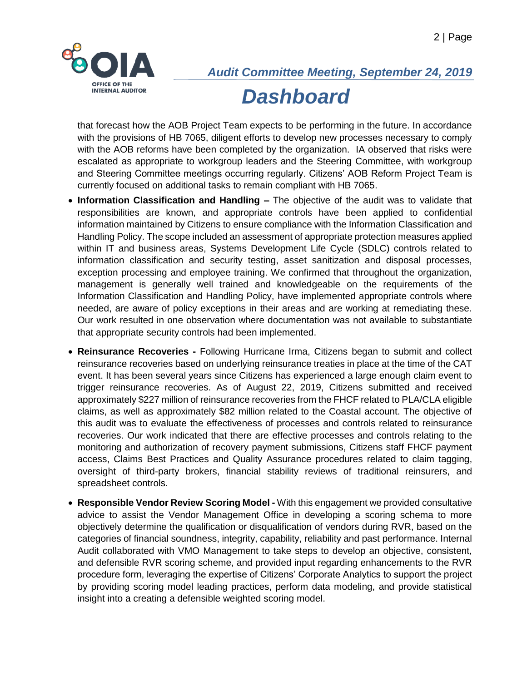

that forecast how the AOB Project Team expects to be performing in the future. In accordance with the provisions of HB 7065, diligent efforts to develop new processes necessary to comply with the AOB reforms have been completed by the organization. IA observed that risks were escalated as appropriate to workgroup leaders and the Steering Committee, with workgroup and Steering Committee meetings occurring regularly. Citizens' AOB Reform Project Team is currently focused on additional tasks to remain compliant with HB 7065.

- **Information Classification and Handling –** The objective of the audit was to validate that responsibilities are known, and appropriate controls have been applied to confidential information maintained by Citizens to ensure compliance with the Information Classification and Handling Policy. The scope included an assessment of appropriate protection measures applied within IT and business areas, Systems Development Life Cycle (SDLC) controls related to information classification and security testing, asset sanitization and disposal processes, exception processing and employee training. We confirmed that throughout the organization, management is generally well trained and knowledgeable on the requirements of the Information Classification and Handling Policy, have implemented appropriate controls where needed, are aware of policy exceptions in their areas and are working at remediating these. Our work resulted in one observation where documentation was not available to substantiate that appropriate security controls had been implemented.
- **Reinsurance Recoveries -** Following Hurricane Irma, Citizens began to submit and collect reinsurance recoveries based on underlying reinsurance treaties in place at the time of the CAT event. It has been several years since Citizens has experienced a large enough claim event to trigger reinsurance recoveries. As of August 22, 2019, Citizens submitted and received approximately \$227 million of reinsurance recoveries from the FHCF related to PLA/CLA eligible claims, as well as approximately \$82 million related to the Coastal account. The objective of this audit was to evaluate the effectiveness of processes and controls related to reinsurance recoveries. Our work indicated that there are effective processes and controls relating to the monitoring and authorization of recovery payment submissions, Citizens staff FHCF payment access, Claims Best Practices and Quality Assurance procedures related to claim tagging, oversight of third-party brokers, financial stability reviews of traditional reinsurers, and spreadsheet controls.
- **Responsible Vendor Review Scoring Model -** With this engagement we provided consultative advice to assist the Vendor Management Office in developing a scoring schema to more objectively determine the qualification or disqualification of vendors during RVR, based on the categories of financial soundness, integrity, capability, reliability and past performance. Internal Audit collaborated with VMO Management to take steps to develop an objective, consistent, and defensible RVR scoring scheme, and provided input regarding enhancements to the RVR procedure form, leveraging the expertise of Citizens' Corporate Analytics to support the project by providing scoring model leading practices, perform data modeling, and provide statistical insight into a creating a defensible weighted scoring model.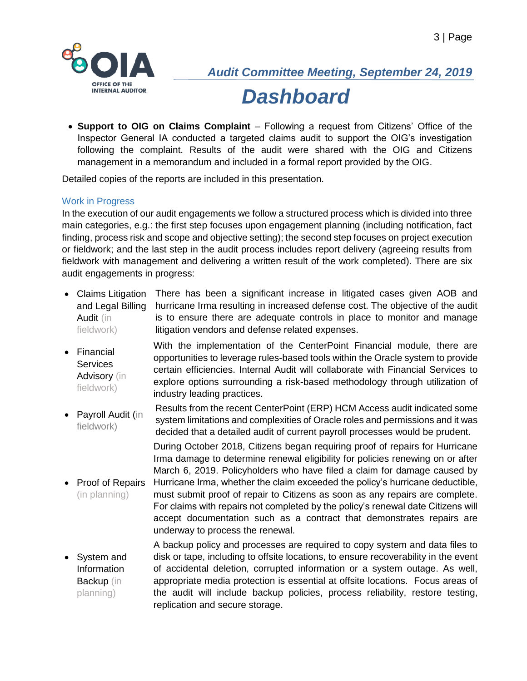

• **Support to OIG on Claims Complaint** – Following a request from Citizens' Office of the Inspector General IA conducted a targeted claims audit to support the OIG's investigation following the complaint. Results of the audit were shared with the OIG and Citizens management in a memorandum and included in a formal report provided by the OIG.

Detailed copies of the reports are included in this presentation.

industry leading practices.

#### Work in Progress

In the execution of our audit engagements we follow a structured process which is divided into three main categories, e.g.: the first step focuses upon engagement planning (including notification, fact finding, process risk and scope and objective setting); the second step focuses on project execution or fieldwork; and the last step in the audit process includes report delivery (agreeing results from fieldwork with management and delivering a written result of the work completed). There are six audit engagements in progress:

- Claims Litigation and Legal Billing Audit (in fieldwork) There has been a significant increase in litigated cases given AOB and hurricane Irma resulting in increased defense cost. The objective of the audit is to ensure there are adequate controls in place to monitor and manage litigation vendors and defense related expenses.
- Financial **Services** Advisory (in fieldwork)

• Proof of Repairs (in planning)

• Payroll Audit (in fieldwork) Results from the recent CenterPoint (ERP) HCM Access audit indicated some system limitations and complexities of Oracle roles and permissions and it was decided that a detailed audit of current payroll processes would be prudent.

> During October 2018, Citizens began requiring proof of repairs for Hurricane Irma damage to determine renewal eligibility for policies renewing on or after March 6, 2019. Policyholders who have filed a claim for damage caused by Hurricane Irma, whether the claim exceeded the policy's hurricane deductible, must submit proof of repair to Citizens as soon as any repairs are complete.

> With the implementation of the CenterPoint Financial module, there are opportunities to leverage rules-based tools within the Oracle system to provide certain efficiencies. Internal Audit will collaborate with Financial Services to explore options surrounding a risk-based methodology through utilization of

For claims with repairs not completed by the policy's renewal date Citizens will accept documentation such as a contract that demonstrates repairs are underway to process the renewal.

• System and Information Backup (in planning) A backup policy and processes are required to copy system and data files to disk or tape, including to offsite locations, to ensure recoverability in the event of accidental deletion, corrupted information or a system outage. As well, appropriate media protection is essential at offsite locations. Focus areas of the audit will include backup policies, process reliability, restore testing, replication and secure storage.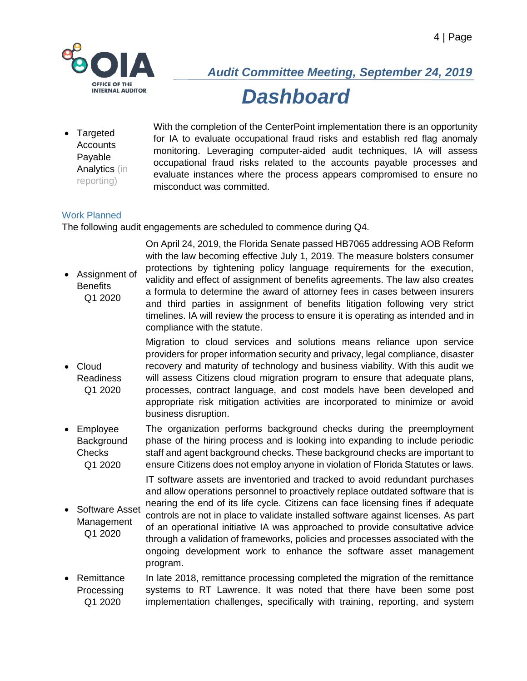

• Targeted **Accounts** Payable Analytics (in reporting)

With the completion of the CenterPoint implementation there is an opportunity for IA to evaluate occupational fraud risks and establish red flag anomaly monitoring. Leveraging computer-aided audit techniques, IA will assess occupational fraud risks related to the accounts payable processes and evaluate instances where the process appears compromised to ensure no misconduct was committed.

#### Work Planned

The following audit engagements are scheduled to commence during Q4.

• Assignment of **Benefits** Q1 2020 On April 24, 2019, the Florida Senate passed HB7065 addressing AOB Reform with the law becoming effective July 1, 2019. The measure bolsters consumer protections by tightening policy language requirements for the execution, validity and effect of assignment of benefits agreements. The law also creates a formula to determine the award of attorney fees in cases between insurers and third parties in assignment of benefits litigation following very strict timelines. IA will review the process to ensure it is operating as intended and in compliance with the statute.

- Cloud Readiness Q1 2020 Migration to cloud services and solutions means reliance upon service providers for proper information security and privacy, legal compliance, disaster recovery and maturity of technology and business viability. With this audit we will assess Citizens cloud migration program to ensure that adequate plans, processes, contract language, and cost models have been developed and appropriate risk mitigation activities are incorporated to minimize or avoid business disruption.
- Employee **Background** Checks Q1 2020 The organization performs background checks during the preemployment phase of the hiring process and is looking into expanding to include periodic staff and agent background checks. These background checks are important to ensure Citizens does not employ anyone in violation of Florida Statutes or laws.

IT software assets are inventoried and tracked to avoid redundant purchases and allow operations personnel to proactively replace outdated software that is nearing the end of its life cycle. Citizens can face licensing fines if adequate

- Software Asset Management Q1 2020 controls are not in place to validate installed software against licenses. As part of an operational initiative IA was approached to provide consultative advice through a validation of frameworks, policies and processes associated with the ongoing development work to enhance the software asset management program.
- Remittance **Processing** Q1 2020 In late 2018, remittance processing completed the migration of the remittance systems to RT Lawrence. It was noted that there have been some post implementation challenges, specifically with training, reporting, and system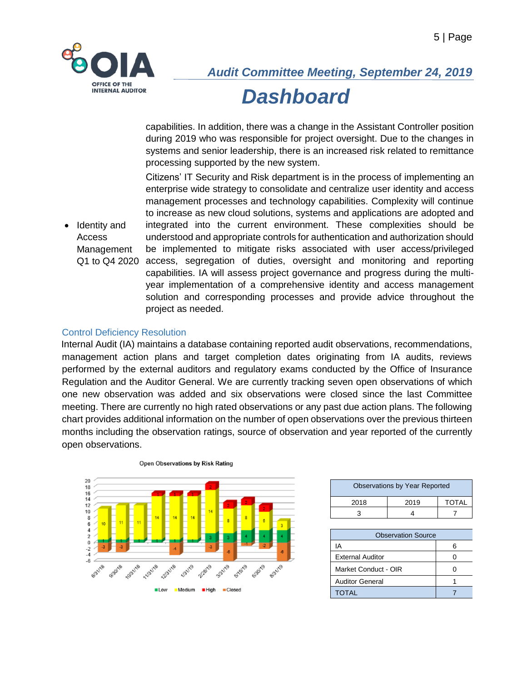

capabilities. In addition, there was a change in the Assistant Controller position during 2019 who was responsible for project oversight. Due to the changes in systems and senior leadership, there is an increased risk related to remittance processing supported by the new system.

• Identity and Access Management Q1 to Q4 2020 access, segregation of duties, oversight and monitoring and reporting Citizens' IT Security and Risk department is in the process of implementing an enterprise wide strategy to consolidate and centralize user identity and access management processes and technology capabilities. Complexity will continue to increase as new cloud solutions, systems and applications are adopted and integrated into the current environment. These complexities should be understood and appropriate controls for authentication and authorization should be implemented to mitigate risks associated with user access/privileged capabilities. IA will assess project governance and progress during the multiyear implementation of a comprehensive identity and access management solution and corresponding processes and provide advice throughout the project as needed.

#### Control Deficiency Resolution

Internal Audit (IA) maintains a database containing reported audit observations, recommendations, management action plans and target completion dates originating from IA audits, reviews performed by the external auditors and regulatory exams conducted by the Office of Insurance Regulation and the Auditor General. We are currently tracking seven open observations of which one new observation was added and six observations were closed since the last Committee meeting. There are currently no high rated observations or any past due action plans. The following chart provides additional information on the number of open observations over the previous thirteen months including the observation ratings, source of observation and year reported of the currently open observations.



|  |  |  | Open Observations by Risk Rating |
|--|--|--|----------------------------------|
|  |  |  |                                  |

| <b>Observations by Year Reported</b> |      |              |  |  |  |
|--------------------------------------|------|--------------|--|--|--|
| 2018                                 | 2019 | <b>TOTAL</b> |  |  |  |
|                                      |      |              |  |  |  |

| <b>Observation Source</b> |  |  |  |  |
|---------------------------|--|--|--|--|
| ΙA                        |  |  |  |  |
| <b>External Auditor</b>   |  |  |  |  |
| Market Conduct - OIR      |  |  |  |  |
| <b>Auditor General</b>    |  |  |  |  |
| <b>TOTAL</b>              |  |  |  |  |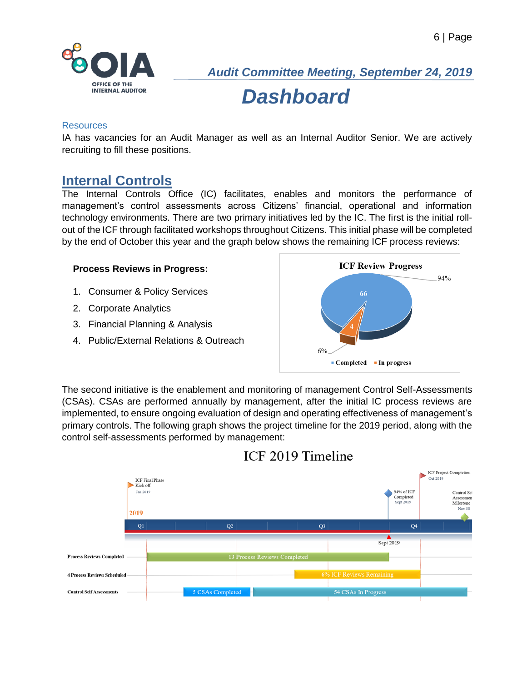

#### Resources

IA has vacancies for an Audit Manager as well as an Internal Auditor Senior. We are actively recruiting to fill these positions.

### **Internal Controls**

The Internal Controls Office (IC) facilitates, enables and monitors the performance of management's control assessments across Citizens' financial, operational and information technology environments. There are two primary initiatives led by the IC. The first is the initial rollout of the ICF through facilitated workshops throughout Citizens. This initial phase will be completed by the end of October this year and the graph below shows the remaining ICF process reviews:

#### **Process Reviews in Progress:**

- 1. Consumer & Policy Services
- 2. Corporate Analytics
- 3. Financial Planning & Analysis
- 4. Public/External Relations & Outreach



The second initiative is the enablement and monitoring of management Control Self-Assessments (CSAs). CSAs are performed annually by management, after the initial IC process reviews are implemented, to ensure ongoing evaluation of design and operating effectiveness of management's primary controls. The following graph shows the project timeline for the 2019 period, along with the control self-assessments performed by management:



### ICF 2019 Timeline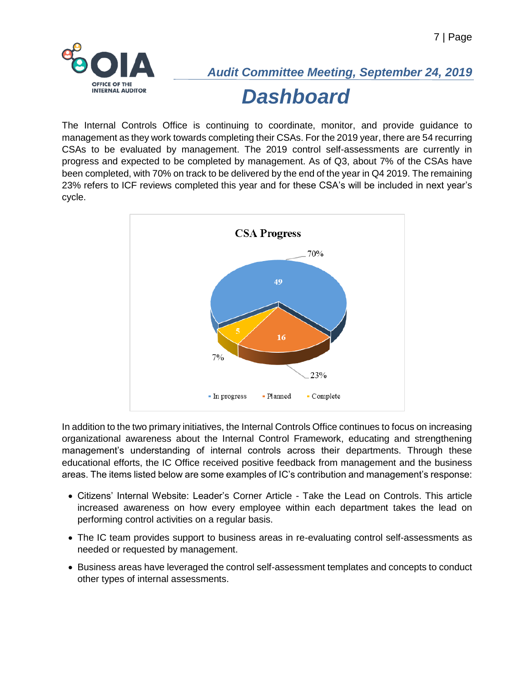

The Internal Controls Office is continuing to coordinate, monitor, and provide guidance to management as they work towards completing their CSAs. For the 2019 year, there are 54 recurring CSAs to be evaluated by management. The 2019 control self-assessments are currently in progress and expected to be completed by management. As of Q3, about 7% of the CSAs have been completed, with 70% on track to be delivered by the end of the year in Q4 2019. The remaining 23% refers to ICF reviews completed this year and for these CSA's will be included in next year's cycle.



In addition to the two primary initiatives, the Internal Controls Office continues to focus on increasing organizational awareness about the Internal Control Framework, educating and strengthening management's understanding of internal controls across their departments. Through these educational efforts, the IC Office received positive feedback from management and the business areas. The items listed below are some examples of IC's contribution and management's response:

- Citizens' Internal Website: Leader's Corner Article Take the Lead on Controls. This article increased awareness on how every employee within each department takes the lead on performing control activities on a regular basis.
- The IC team provides support to business areas in re-evaluating control self-assessments as needed or requested by management.
- Business areas have leveraged the control self-assessment templates and concepts to conduct other types of internal assessments.